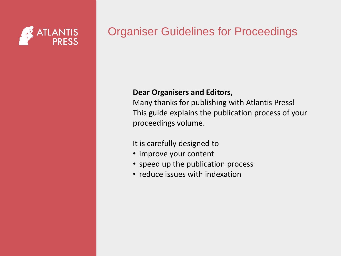

#### Organiser Guidelines for Proceedings

#### **Dear Organisers and Editors,**

Many thanks for publishing with Atlantis Press! This guide explains the publication process of your proceedings volume.

It is carefully designed to

- improve your content
- speed up the publication process
- reduce issues with indexation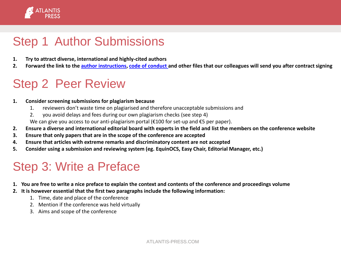

# Step 1 Author Submissions

- **1. Try to attract diverse, international and highly-cited authors**
- **2. Forward the link to the [author instructions](https://www.atlantis-press.com/policies/submission-and-author-guidelines), [code of conduct](https://www.springernature.com/gp/authors/book-authors-code-of-conduct) and other files that our colleagues will send you after contract signing**

## Step 2 Peer Review

#### **1. Consider screening submissions for plagiarism because**

- 1. reviewers don't waste time on plagiarised and therefore unacceptable submissions and
- 2. you avoid delays and fees during our own plagiarism checks (see step 4)

We can give you access to our anti-plagiarism portal (€100 for set-up and €5 per paper).

- **2. Ensure a diverse and international editorial board with experts in the field and list the members on the conference website**
- **3. Ensure that only papers that are in the scope of the conference are accepted**
- **4. Ensure that articles with extreme remarks and discriminatory content are not accepted**
- **5. Consider using a submission and reviewing system (eg. EquinOCS, Easy Chair, Editorial Manager, etc.)**

## Step 3: Write a Preface

- **1. You are free to write a nice preface to explain the context and contents of the conference and proceedings volume**
- **2. It is however essential that the first two paragraphs include the following information:**
	- 1. Time, date and place of the conference
	- 2. Mention if the conference was held virtually
	- 3. Aims and scope of the conference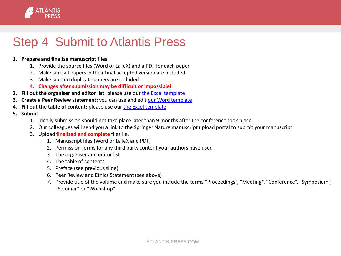

## Step 4 Submit to Atlantis Press

#### **1. Prepare and finalise manuscript files**

- 1. Provide the source files (Word or LaTeX) and a PDF for each paper
- 2. Make sure all papers in their final accepted version are included
- 3. Make sure no duplicate papers are included
- **4. Changes after submission may be difficult or impossible!**
- **2. Fill out the organiser and editor list**: please use our [the Excel template](https://www.atlantis-press.com/policies/submission-and-author-guidelines)
- **3. Create a Peer Review statement:** you can use and edit [our Word template](https://www.atlantis-press.com/policies/submission-and-author-guidelines)
- **4. Fill out the table of content:** please use our [the Excel template](https://www.atlantis-press.com/policies/submission-and-author-guidelines)
- **5. Submit**
	- 1. Ideally submission should not take place later than 9 months after the conference took place
	- 2. Our colleagues will send you a link to the Springer Nature manuscript upload portal to submit your manuscript
	- 3. Upload **finalised and complete** files i.e.
		- 1. Manuscript files (Word or LaTeX and PDF)
		- 2. Permission forms for any third party content your authors have used
		- 3. The organiser and editor list
		- 4. The table of contents
		- 5. Preface (see previous slide)
		- 6. Peer Review and Ethics Statement (see above)
		- 7. Provide title of the volume and make sure you include the terms "Proceedings", "Meeting", "Conference", "Symposium", "Seminar" or "Workshop"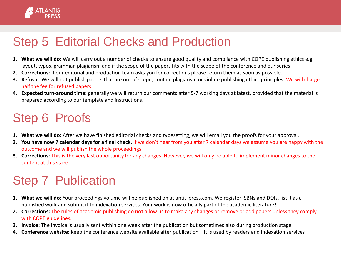

## Step 5 Editorial Checks and Production

- **1. What we will do:** We will carry out a number of checks to ensure good quality and compliance with COPE publishing ethics e.g. layout, typos, grammar, plagiarism and if the scope of the papers fits with the scope of the conference and our series.
- **2. Corrections**: If our editorial and production team asks you for corrections please return them as soon as possible.
- **3. Refusal**: We will not publish papers that are out of scope, contain plagiarism or violate publishing ethics principles. We will charge half the fee for refused papers.
- **4. Expected turn-around time:** generally we will return our comments after 5-7 working days at latest, provided that the material is prepared according to our template and instructions.

# Step 6 Proofs

- **1. What we will do:** After we have finished editorial checks and typesetting, we will email you the proofs for your approval.
- **2. You have now 7 calendar days for a final check**. If we don't hear from you after 7 calendar days we assume you are happy with the outcome and we will publish the whole proceedings.
- **3. Corrections**: This is the very last opportunity for any changes. However, we will only be able to implement minor changes to the content at this stage

# Step 7 Publication

- **1. What we will do:** Your proceedings volume will be published on atlantis-press.com. We register ISBNs and DOIs, list it as a published work and submit it to indexation services. Your work is now officially part of the academic literature!
- **2. Corrections:** The rules of academic publishing do **not** allow us to make any changes or remove or add papers unless they comply with COPE guidelines.
- **3. Invoice:** The invoice is usually sent within one week after the publication but sometimes also during production stage.
- **4. Conference website:** Keep the conference website available after publication it is used by readers and indexation services